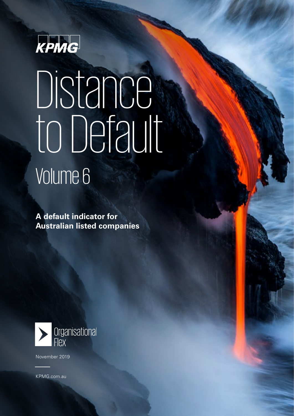

### Distance engaging ro Dorad Volume 6 to Default

**A default indicator for Australian listed companies** 



November 2019

[kpmg.com.au](http://www.kpmg.com.au) KPM[G.com.au](http://www.kpmg.com.au)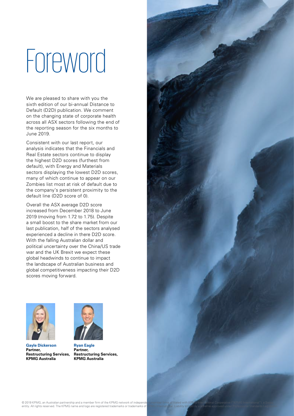## **Foreword**

We are pleased to share with you the sixth edition of our bi-annual Distance to Default (D2D) publication. We comment on the changing state of corporate health across all ASX sectors following the end of the reporting season for the six months to June 2019.

Consistent with our last report, our analysis indicates that the Financials and Real Estate sectors continue to display the highest D2D scores (furthest from default), with Energy and Materials sectors displaying the lowest D2D scores, many of which continue to appear on our Zombies list most at risk of default due to the company's persistent proximity to the default line (D2D score of 0).

Overall the ASX average D2D score increased from December 2018 to June 2019 (moving from 1.72 to 1.75). Despite a small boost to the share market from our last publication, half of the sectors analysed experienced a decline in there D2D score. With the falling Australian dollar and political uncertainty over the China/US trade war and the UK Brexit we expect these global headwinds to continue to impact the landscape of Australian business and global competitiveness impacting their D2D scores moving forward.



**Gayle Dickerson Partner, Restructuring Services, KPMG Australia**



**Ryan Eagle**

**Partner, Restructuring Services, KPMG Australia**

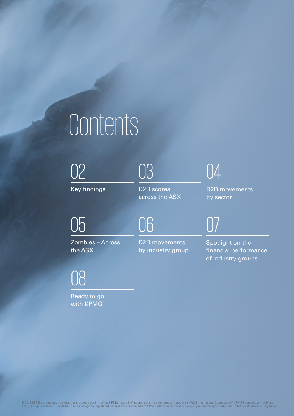### Contents

[02](#page-3-0) 03 04

Key findings

[03](#page-4-0)

06

D2D scores across the ASX

D2D movements by sector

### 05

[Zombies – Across](#page-5-0)  the ASX

[08](#page-8-0)

Ready to go with KPMG

D2D movements by industry group 07

Spotlight on the [financial performance](#page-7-0)  of industry groups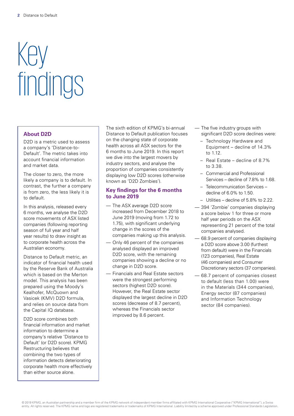## <span id="page-3-0"></span>Key findings

#### **About D2D**

D<sub>2</sub>D is a metric used to assess a company's 'Distance-to-Default'. The metric takes into account financial information and market data.

The closer to zero, the more likely a company is to default. In contrast, the further a company is from zero, the less likely it is to default.

In this analysis, released every 6 months, we analyse the D2D score movements of ASX listed companies (following reporting season of full year and half year results) to draw insight as to corporate health across the Australian economy.

Distance to Default metric, an indicator of financial health used by the Reserve Bank of Australia which is based on the Merton model. This analysis has been prepared using the Moody's Kealhofer, McQuown and Vasicek (KMV) D2D formula, and relies on source data from the Capital IQ database.

D2D score combines both financial information and market information to determine a company's relative 'Distance to Default' (or D2D score). KPMG Restructuring believes that combining the two types of information detects deteriorating corporate health more effectively than either source alone.

The sixth edition of KPMG's bi-annual Distance to Default publication focuses on the changing state of corporate health across all ASX sectors for the 6 months to June 2019. In this report we dive into the largest movers by industry sectors, and analyse the proportion of companies consistently displaying low D2D scores (otherwise known as 'D2D Zombies').

#### **Key findings for the 6 months to June 2019**

- The ASX average D2D score increased from December 2018 to June 2019 (moving from 1.72 to 1.75), with significant underlying change in the scores of the companies making up this analysis.
- Only 46 percent of the companies analysed displayed an improved D2D score, with the remaining companies showing a decline or no change in D2D score.
- Financials and Real Estate sectors were the strongest performing sectors (highest D2D score). However, the Real Estate sector displayed the largest decline in D2D scores (decrease of 8.7 percent), whereas the Financials sector improved by 8.6 percent.
- The five industry groups with significant D2D score declines were:
	- Technology Hardware and Equipment – decline of 14.3% to 1.12.
	- Real Estate decline of 8.7% to 3.38.
	- Commercial and Professional Services – decline of 7.8% to 1.68.
	- Telecommunication Services decline of 6.0% to 1.50.
	- Utilities decline of 5.8% to 2.22.
- 394 'Zombie' companies displaying a score below 1 for three or more half year periods on the ASX representing 21 percent of the total companies analysed.
- 68.9 percent of companies displaying a D2D score above 3.00 (furthest from default) were in the Financials (123 companies), Real Estate (46 companies) and Consumer Discretionary sectors (37 companies).
- 68.7 percent of companies closest to default (less than 1.00) were in the Materials (344 companies), Energy sector (87 companies) and Information Technology sector (84 companies).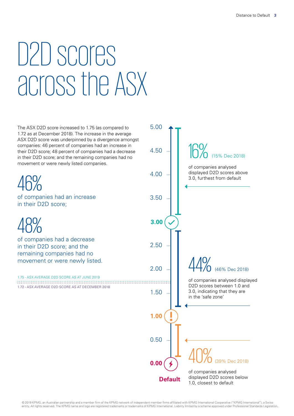### <span id="page-4-0"></span>D2D scores across the ASX

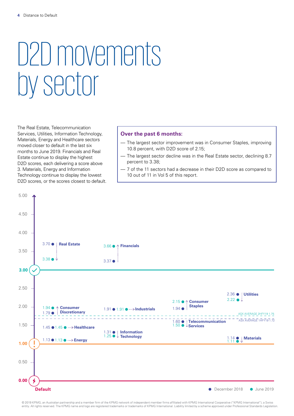### <span id="page-5-0"></span>D2D movements by sector

The Real Estate, Telecommunication Services, Utilities, Information Technology, Materials, Energy and Healthcare sectors moved closer to default in the last six months to June 2019. Financials and Real Estate continue to display the highest D2D scores, each delivering a score above 3. Materials, Energy and Information Technology continue to display the lowest D2D scores, or the scores closest to default.

#### **Over the past 6 months:**

- The largest sector improvement was in Consumer Staples, improving 10.8 percent, with D2D score of 2.15;
- The largest sector decline was in the Real Estate sector, declining 8.7 percent to 3.38;
- 7 of the 11 sectors had a decrease in their D2D score as compared to 10 out of 11 in Vol 5 of this report.



© 2019 KPMG, an Australian partnership and a member firm of the KPMG network of independent member firms affiliated with KPMG International Cooperative ("KPMG International"), a Swiss entity. All rights reserved. The KPMG name and logo are registered trademarks or trademarks of KPMG International. Liability limited by a scheme approved under Professional Standards Legislation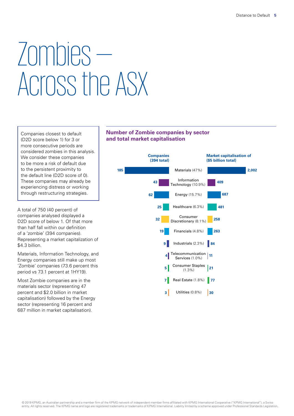### Zombies — Across the ASX

Companies closest to default (D2D score below 1) for 3 or more consecutive periods are considered zombies in this analysis. We consider these companies to be more a risk of default due to the persistent proximity to the default line (D2D score of 0). These companies may already be experiencing distress or working through restructuring strategies.

A total of 750 (40 percent) of companies analysed displayed a D2D score of below 1. Of that more than half fall within our definition of a 'zombie' (394 companies). Representing a market capitalization of \$4.3 billion.

Materials, Information Technology, and Energy companies still make up most 'Zombie' companies (73.6 percent this period vs 73.1 percent at 1HY19).

Most Zombie companies are in the materials sector (representing 47 percent and \$2.0 billion in market capitalisation) followed by the Energy sector (representing 16 percent and 687 million in market capitalisation).

### **Number of Zombie companies by sector and total market capitalisation**

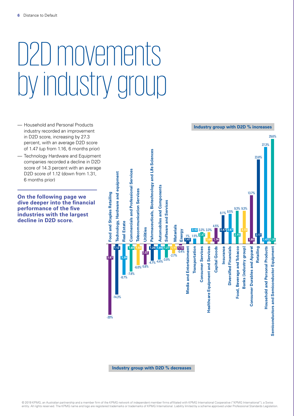### <span id="page-7-0"></span>D2D movements by industry group

- Household and Personal Products industry recorded an improvement in D2D score, increasing by 27.3 percent, with an average D2D score of 1.47 (up from 1.16, 6 months prior)
- Technology Hardware and Equipment companies recorded a decline in D2D score of 14.3 percent with an average D2D score of 1.12 (down from 1.31, 6 months prior)

**On the following page we dive deeper into the financial performance of the five industries with the largest decline in D2D score.**

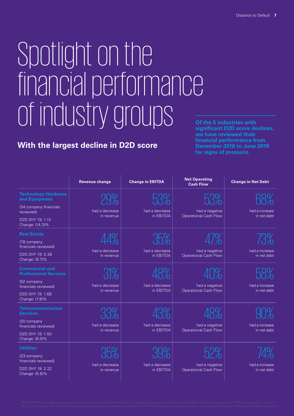### <span id="page-8-0"></span>Spotlight on the financial performance of industry groups

### **With the largest decline in D2D score**

**Of the 5 industries with significant D2D score declines, we have reviewed their financial performance from December 2018 to June 2019 for signs of pressure.**

|                                                                                                                                    | <b>Revenue change</b>        | <b>Change in EBITDA</b>     | <b>Net Operating</b><br><b>Cash Flow</b>       | <b>Change in Net Debt</b>     |
|------------------------------------------------------------------------------------------------------------------------------------|------------------------------|-----------------------------|------------------------------------------------|-------------------------------|
| <b>Technology Hardware</b><br>and Equipment<br>(34 company financials<br>reviewed)<br>D2D 2HY 19: 1.12<br>Change: (14.3)%          | had a decrease<br>in revenue | had a decrease<br>in EBITDA | had a negative<br><b>Operational Cash Flow</b> | had a increase<br>in net debt |
| <b>Real Estate</b><br>(78 company<br>financials reviewed)<br>D2D 2HY 19: 3.38<br>Change: (8.7)%                                    | had a decrease<br>in revenue | had a decrease<br>in EBITDA | had a negative<br><b>Operational Cash Flow</b> | had a increase<br>in net debt |
| <b>Commercial and</b><br><b>Professional Services</b><br>(52 company<br>financials reviewed)<br>D2D 2HY 19: 1.68<br>Change: (7.8)% | had a decrease<br>in revenue | had a decrease<br>in EBITDA | had a negative<br><b>Operational Cash Flow</b> | had a increase<br>in net debt |
| <b>Telecommunication</b><br><b>Services</b><br>(20 company<br>financials reviewed)<br>D2D 2HY 19: 1.50<br>Change: (6.0)%           | had a decrease<br>in revenue | had a decrease<br>in EBITDA | had a negative<br><b>Operational Cash Flow</b> | had a increase<br>in net debt |
| <b>Utilities</b><br>(23 company<br>financials reviewed)<br>D2D 2HY 19: 2.22<br>Change: (5.8)%                                      | had a decrease<br>in revenue | had a decrease<br>in EBITDA | had a negative<br><b>Operational Cash Flow</b> | had a increase<br>in net debt |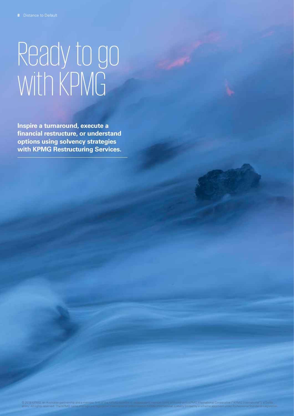# Ready to go with KPMG

**Inspire a turnaround, execute a financial restructure, or understand options using solvency strategies with KPMG Restructuring Services.**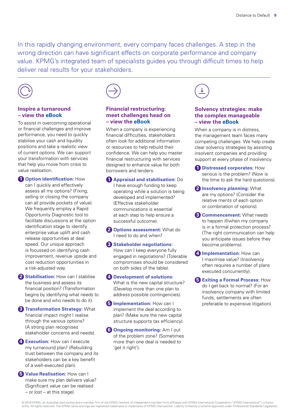In this rapidly changing environment, every company faces challenges. A step in the wrong direction can have significant effects on corporate performance and company value. KPMG's integrated team of specialists guides you through difficult times to help deliver real results for your stakeholders.



### **Inspire a turnaround – view the eBook**

To assist in overcoming operational or financial challenges and improve performance, you need to quickly stabilise your cash and liquidity positions and take a realistic view of current options. We can support your transformation with services that help you move from crisis to value realisation.

**1 Option identification:** How can I quickly and effectively assess all my options? (Fixing, selling or closing the company can all provide pockets of value). We frequently employ a Rapid Opportunity Diagnostic tool to facilitate discussions at the option identification stage to identify enterprise value uplift and cash release opportunities at deal speed. Our unique approach is focussed on identifying cash improvement, revenue upside and cost reduction opportunities in a risk-adjusted way.

**2 Stabilisation:** How can I stabilise the business and assess its financial position? (Transformation begins by identifying what needs to be done and who needs to do it).

**3 Transformation Strategy:** What financial impact might I realise through the various options? (A strong plan recognises stakeholder concerns and needs).

**4 Execution:** How can I execute my turnaround plan? (Rebuilding trust between the company and its stakeholders can be a key benefit of a well-executed plan).

**5 Value Realisation:** How can I make sure my plan delivers value? (Significant value can be realised – or lost – at this stage).



#### **Financial restructuring: meet challenges head on – view the eBook**

When a company is experiencing financial difficulties, stakeholders often look for additional information or resources to help rebuild their confidence. We can help you master financial restructuring with services designed to enhance value for both borrowers and lenders.

**1 Appraisal and stabilisation:** Do I have enough funding to keep operating while a solution is being developed and implemented? (Effective stakeholder communications is essential at each step to help ensure a successful outcome).

**2 Options assessment:** What do I need to do and when?

**3 Stakeholder negotiations:** How can I keep everyone fully engaged in negotiations? (Tolerable compromises should be considered on both sides of the table).

**4 Development of solutions:**  What is the new capital structure? (Develop more than one plan to address possible contingencies).

**5 Implementation:** How can I implement the deal according to plan? (Make sure the new capital structure supports tax efficiency).

**6 Ongoing monitoring:** Am I out of the problem zone? (Sometimes more than one deal is needed to 'get it right').



### **Solvency strategies: make the complex manageable – view the eBook**

When a company is in distress. the management team faces many competing challenges. We help create clear solvency strategies by assisting insolvent companies and providing support at every phase of insolvency.

- **1 Distressed corporates:** How serious is the problem? (Now is the time to ask the hard questions).
- **2 Insolvency planning:** What are my options? (Consider the relative merits of each option or combination of options).
- **3 Commencement:** What needs to happen if/when my company is in a formal protection process? (The right communication can help you anticipate issues before they become problems).

**4 Implementation:** How can I maximise value? (Insolvency often requires a number of plans executed concurrently).

**5 Exiting a Formal Process:** How do I get back to normal? (For an insolvency company with limited funds, settlements are often preferable to expensive litigation).